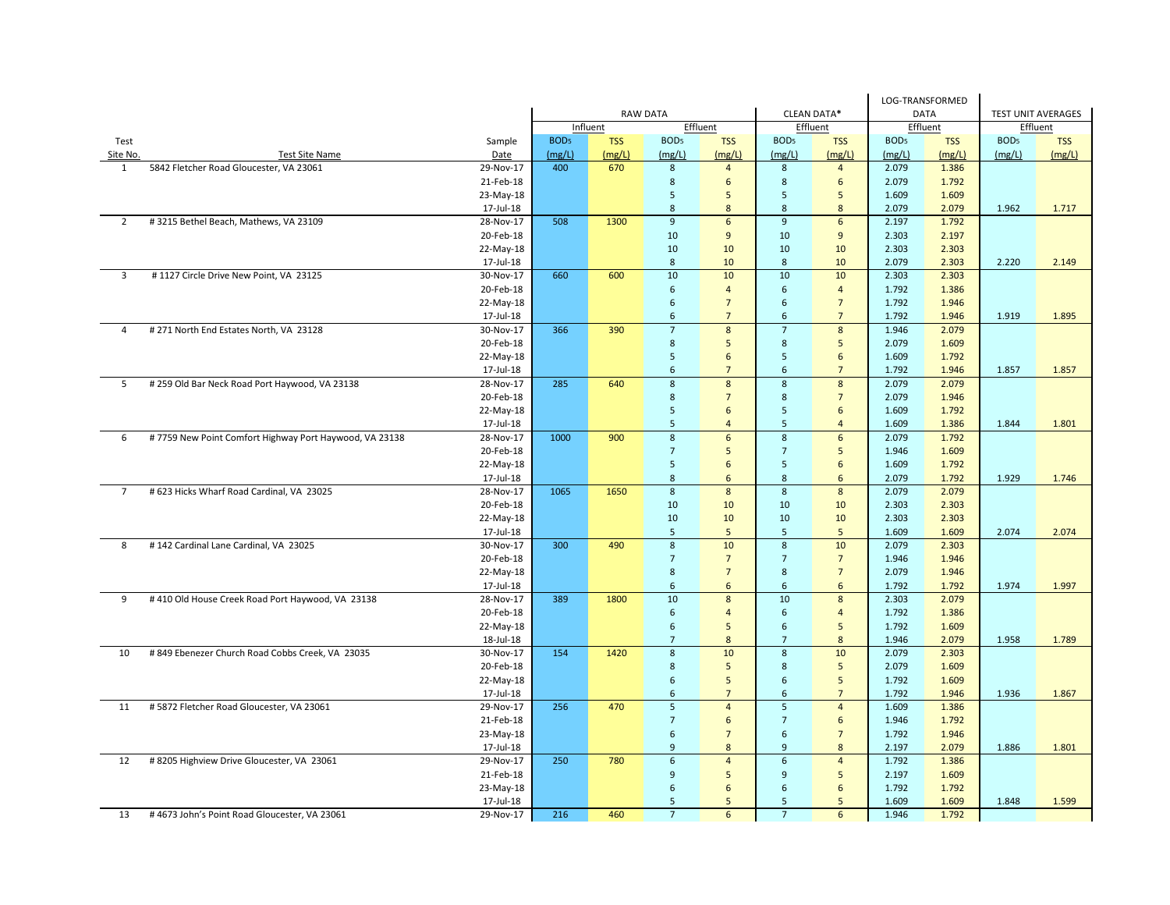|                |                                                        |           |                                       |            |                         |                         |                         |                  |                  | LOG-TRANSFORMED |                           |            |
|----------------|--------------------------------------------------------|-----------|---------------------------------------|------------|-------------------------|-------------------------|-------------------------|------------------|------------------|-----------------|---------------------------|------------|
|                |                                                        |           | <b>RAW DATA</b><br><b>CLEAN DATA*</b> |            |                         |                         |                         |                  | <b>DATA</b>      |                 | <b>TEST UNIT AVERAGES</b> |            |
|                |                                                        |           |                                       | Influent   |                         | Effluent                |                         | Effluent         | Effluent         |                 | Effluent                  |            |
| Test           |                                                        | Sample    | BOD <sub>5</sub>                      | <b>TSS</b> | BOD <sub>5</sub>        | <b>TSS</b>              | BOD <sub>5</sub>        | <b>TSS</b>       | BOD <sub>5</sub> | <b>TSS</b>      | BOD <sub>5</sub>          | <b>TSS</b> |
| Site No.       | <b>Test Site Name</b>                                  | Date      | (mg/L)                                | (mg/L)     | (mg/L)                  | (mg/L)                  | (mg/L)                  | (mg/L)           | (mg/L)           | (mg/L)          | (mg/L)                    | (mg/L)     |
| $\mathbf{1}$   | 5842 Fletcher Road Gloucester, VA 23061                | 29-Nov-17 | 400                                   | 670        | 8                       | $\overline{4}$          | 8                       | $\overline{4}$   | 2.079            | 1.386           |                           |            |
|                |                                                        | 21-Feb-18 |                                       |            | 8                       | 6                       | 8                       | 6                | 2.079            | 1.792           |                           |            |
|                |                                                        | 23-May-18 |                                       |            | $5\phantom{.0}$         | 5                       | $\sqrt{5}$              | 5                | 1.609            | 1.609           |                           |            |
|                |                                                        | 17-Jul-18 |                                       |            | $\bf 8$                 | 8                       | $\boldsymbol{8}$        | 8                | 2.079            | 2.079           | 1.962                     | 1.717      |
| 2              | #3215 Bethel Beach, Mathews, VA 23109                  | 28-Nov-17 | 508                                   | 1300       | $\boldsymbol{9}$        | $6\phantom{a}$          | $\overline{9}$          | $\sqrt{6}$       | 2.197            | 1.792           |                           |            |
|                |                                                        | 20-Feb-18 |                                       |            | 10                      | 9                       | 10                      | 9                | 2.303            | 2.197           |                           |            |
|                |                                                        | 22-May-18 |                                       |            | 10                      | 10                      | 10                      | 10               | 2.303            | 2.303           |                           |            |
|                |                                                        | 17-Jul-18 |                                       |            | 8                       | 10                      | 8                       | 10               | 2.079            | 2.303           | 2.220                     | 2.149      |
| 3              | #1127 Circle Drive New Point, VA 23125                 | 30-Nov-17 | 660                                   | 600        | 10                      | 10                      | 10                      | 10               | 2.303            | 2.303           |                           |            |
|                |                                                        | 20-Feb-18 |                                       |            | 6                       | $\overline{4}$          | $\sqrt{6}$              | $\overline{4}$   | 1.792            | 1.386           |                           |            |
|                |                                                        | 22-May-18 |                                       |            | $\sqrt{6}$              | $\overline{7}$          | $\sqrt{6}$              | $\overline{7}$   | 1.792            | 1.946           |                           |            |
|                |                                                        | 17-Jul-18 |                                       |            | 6                       | $\overline{7}$          | 6                       | $\overline{7}$   | 1.792            | 1.946           | 1.919                     | 1.895      |
| $\overline{4}$ | # 271 North End Estates North, VA 23128                | 30-Nov-17 | 366                                   | 390        | $\overline{7}$          | 8                       | $\overline{7}$          | 8                | 1.946            | 2.079           |                           |            |
|                |                                                        | 20-Feb-18 |                                       |            | 8                       | 5                       | 8                       | 5                | 2.079            | 1.609           |                           |            |
|                |                                                        | 22-May-18 |                                       |            | 5                       | 6                       | 5                       | 6                | 1.609            | 1.792           |                           |            |
|                |                                                        | 17-Jul-18 |                                       |            | 6                       | $\overline{7}$          | 6                       | $\overline{7}$   | 1.792            | 1.946           | 1.857                     | 1.857      |
| 5              | # 259 Old Bar Neck Road Port Haywood, VA 23138         | 28-Nov-17 | 285                                   | 640        | 8                       | 8                       | 8                       | 8                | 2.079            | 2.079           |                           |            |
|                |                                                        | 20-Feb-18 |                                       |            | 8                       | $\overline{7}$          | 8                       | $\overline{7}$   | 2.079            | 1.946           |                           |            |
|                |                                                        | 22-May-18 |                                       |            | $\overline{5}$          | 6                       | 5                       | $\boldsymbol{6}$ | 1.609            | 1.792           |                           |            |
|                |                                                        | 17-Jul-18 |                                       |            | 5                       | $\overline{4}$          | 5                       | $\overline{4}$   | 1.609            | 1.386           | 1.844                     | 1.801      |
| 6              | #7759 New Point Comfort Highway Port Haywood, VA 23138 | 28-Nov-17 | 1000                                  | 900        | 8                       | $6\overline{6}$         | $\boldsymbol{8}$        | $6\phantom{1}$   | 2.079            | 1.792           |                           |            |
|                |                                                        | 20-Feb-18 |                                       |            | $\overline{7}$          | 5                       | $\overline{7}$          | 5                | 1.946            | 1.609           |                           |            |
|                |                                                        | 22-May-18 |                                       |            | 5                       | 6                       | 5                       | 6                | 1.609            | 1.792           |                           |            |
|                |                                                        | 17-Jul-18 |                                       |            | $\bf 8$                 | 6                       | $\bf 8$                 | 6                | 2.079            | 1.792           | 1.929                     | 1.746      |
| $\overline{7}$ | # 623 Hicks Wharf Road Cardinal, VA 23025              | 28-Nov-17 | 1065                                  | 1650       | $\bf 8$                 | $\boldsymbol{8}$        | $\overline{8}$          | $\boldsymbol{8}$ | 2.079            | 2.079           |                           |            |
|                |                                                        | 20-Feb-18 |                                       |            | 10                      | 10                      | 10                      | 10               | 2.303            | 2.303           |                           |            |
|                |                                                        | 22-May-18 |                                       |            | 10                      | 10                      | 10                      | 10               | 2.303            | 2.303           |                           |            |
|                |                                                        | 17-Jul-18 |                                       |            | 5                       | 5                       | 5                       | 5                | 1.609            | 1.609           | 2.074                     | 2.074      |
| 8              | #142 Cardinal Lane Cardinal, VA 23025                  | 30-Nov-17 | 300                                   | 490        | 8                       | 10                      | $\boldsymbol{8}$        | 10               | 2.079            | 2.303           |                           |            |
|                |                                                        | 20-Feb-18 |                                       |            | $\overline{7}$          | $\overline{7}$          | $\overline{7}$          | $\overline{7}$   | 1.946            | 1.946           |                           |            |
|                |                                                        | 22-May-18 |                                       |            | $\bf 8$                 | $7\overline{ }$         | $\bf 8$                 | $7\overline{ }$  | 2.079            | 1.946           |                           |            |
|                |                                                        | 17-Jul-18 |                                       |            | $\sqrt{6}$              | 6                       | 6                       | 6                | 1.792            | 1.792           | 1.974                     | 1.997      |
| 9              | #410 Old House Creek Road Port Haywood, VA 23138       | 28-Nov-17 | 389                                   | 1800       | 10                      | 8                       | 10                      | 8                | 2.303            | 2.079           |                           |            |
|                |                                                        | 20-Feb-18 |                                       |            | 6                       | $\overline{4}$          | 6                       | $\overline{4}$   | 1.792            | 1.386           |                           |            |
|                |                                                        | 22-May-18 |                                       |            | 6                       | 5                       | 6                       | 5                | 1.792            | 1.609           |                           |            |
|                |                                                        | 18-Jul-18 |                                       |            | $7\overline{ }$         | 8                       | $\overline{7}$          | 8                | 1.946            | 2.079           | 1.958                     | 1.789      |
| 10             | # 849 Ebenezer Church Road Cobbs Creek, VA 23035       | 30-Nov-17 | 154                                   | 1420       | 8                       | 10                      | 8                       | 10               | 2.079            | 2.303           |                           |            |
|                |                                                        | 20-Feb-18 |                                       |            | $\bf 8$                 | 5                       | 8                       | $5\phantom{.0}$  | 2.079            | 1.609           |                           |            |
|                |                                                        | 22-May-18 |                                       |            | 6                       | 5                       | 6                       | 5                | 1.792            | 1.609           |                           |            |
|                |                                                        | 17-Jul-18 |                                       |            | 6                       | $\overline{7}$          | 6                       | $\overline{7}$   | 1.792            | 1.946           | 1.936                     | 1.867      |
| 11             | #5872 Fletcher Road Gloucester, VA 23061               | 29-Nov-17 | 256                                   | 470        | $\overline{\mathbf{5}}$ | $\overline{4}$          | $\overline{\mathbf{5}}$ | $\overline{4}$   | 1.609            | 1.386           |                           |            |
|                |                                                        | 21-Feb-18 |                                       |            | $\overline{7}$          | 6                       | $\overline{7}$          | 6                | 1.946            | 1.792           |                           |            |
|                |                                                        | 23-May-18 |                                       |            | 6                       | $\overline{7}$          | 6                       | $\overline{7}$   | 1.792            | 1.946           |                           |            |
|                |                                                        | 17-Jul-18 |                                       |            | 9                       | 8                       | 9                       | 8                | 2.197            | 2.079           | 1.886                     | 1.801      |
| 12             | # 8205 Highview Drive Gloucester, VA 23061             | 29-Nov-17 | 250                                   | 780        | 6                       | $\overline{\mathbf{4}}$ | $\boldsymbol{6}$        | $\overline{4}$   | 1.792            | 1.386           |                           |            |
|                |                                                        | 21-Feb-18 |                                       |            | 9                       | 5                       | 9                       | 5                | 2.197            | 1.609           |                           |            |
|                |                                                        | 23-May-18 |                                       |            | 6                       | 6                       | 6                       | 6                | 1.792            | 1.792           |                           |            |
|                |                                                        | 17-Jul-18 |                                       |            | 5                       | 5                       | 5                       | 5                | 1.609            | 1.609           | 1.848                     | 1.599      |
| 13             | #4673 John's Point Road Gloucester, VA 23061           | 29-Nov-17 | 216                                   | 460        | $\overline{7}$          | 6                       | $\overline{7}$          | 6                | 1.946            | 1.792           |                           |            |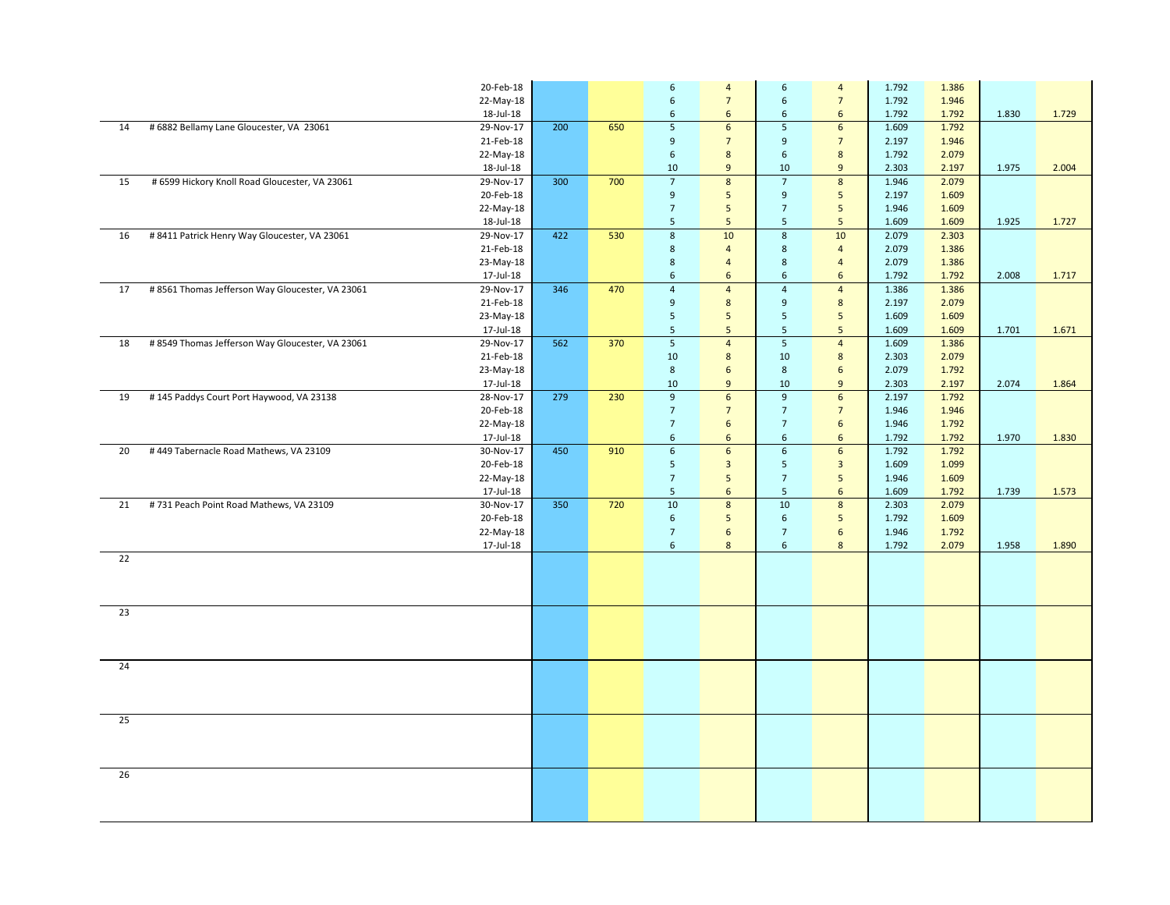|    |                                                  | 20-Feb-18 |     |     | $\boldsymbol{6}$ | $\overline{4}$   | $\sqrt{6}$       | $\overline{4}$          | 1.792 | 1.386 |       |       |
|----|--------------------------------------------------|-----------|-----|-----|------------------|------------------|------------------|-------------------------|-------|-------|-------|-------|
|    |                                                  | 22-May-18 |     |     | $\sqrt{6}$       | $\overline{7}$   | $\boldsymbol{6}$ | $\overline{7}$          | 1.792 | 1.946 |       |       |
|    |                                                  | 18-Jul-18 |     |     | $\sqrt{6}$       | 6                | $\sqrt{6}$       | 6                       | 1.792 | 1.792 | 1.830 | 1.729 |
| 14 | # 6882 Bellamy Lane Gloucester, VA 23061         | 29-Nov-17 | 200 | 650 | $\overline{5}$   | $6\overline{6}$  | 5                | $6\phantom{1}$          | 1.609 | 1.792 |       |       |
|    |                                                  | 21-Feb-18 |     |     | $9$              | $\overline{7}$   | 9                | $\overline{7}$          | 2.197 | 1.946 |       |       |
|    |                                                  | 22-May-18 |     |     | $\,$ 6 $\,$      | $\bf 8$          | $\boldsymbol{6}$ | 8                       | 1.792 | 2.079 |       |       |
|    |                                                  | 18-Jul-18 |     |     | 10               | 9                | 10               | 9                       | 2.303 | 2.197 | 1.975 | 2.004 |
| 15 | # 6599 Hickory Knoll Road Gloucester, VA 23061   | 29-Nov-17 | 300 | 700 | $\overline{7}$   | $\bf 8$          | $\overline{7}$   | $\boldsymbol{8}$        | 1.946 | 2.079 |       |       |
|    |                                                  | 20-Feb-18 |     |     | $9$              | 5                | $9\,$            | 5                       | 2.197 | 1.609 |       |       |
|    |                                                  | 22-May-18 |     |     | $\overline{7}$   | 5                | $\overline{7}$   | 5                       | 1.946 | 1.609 |       |       |
|    |                                                  | 18-Jul-18 |     |     | 5                | $\sqrt{5}$       | $\overline{5}$   | 5                       | 1.609 | 1.609 | 1.925 | 1.727 |
| 16 | # 8411 Patrick Henry Way Gloucester, VA 23061    | 29-Nov-17 | 422 | 530 | $\overline{8}$   | 10               | $\boldsymbol{8}$ | 10                      | 2.079 | 2.303 |       |       |
|    |                                                  | 21-Feb-18 |     |     | $\,$ 8           | $\overline{4}$   | $\,$ 8 $\,$      | $\overline{4}$          | 2.079 | 1.386 |       |       |
|    |                                                  | 23-May-18 |     |     | $\,$ 8           | $\overline{4}$   | $\bf 8$          | $\overline{4}$          | 2.079 | 1.386 |       |       |
|    |                                                  | 17-Jul-18 |     |     | $6\phantom{1}$   | 6                | $\boldsymbol{6}$ | 6                       | 1.792 | 1.792 | 2.008 | 1.717 |
| 17 | #8561 Thomas Jefferson Way Gloucester, VA 23061  | 29-Nov-17 | 346 | 470 | $\overline{4}$   | $\overline{4}$   | $\overline{4}$   | $\overline{4}$          | 1.386 | 1.386 |       |       |
|    |                                                  | 21-Feb-18 |     |     | $\overline{9}$   | $\boldsymbol{8}$ | 9                | 8                       | 2.197 | 2.079 |       |       |
|    |                                                  | 23-May-18 |     |     | $5\overline{5}$  | 5                | $\overline{5}$   | 5                       | 1.609 | 1.609 |       |       |
|    |                                                  | 17-Jul-18 |     |     | 5                | $\sqrt{5}$       | $\overline{5}$   | $5\phantom{.0}$         | 1.609 | 1.609 | 1.701 | 1.671 |
| 18 | # 8549 Thomas Jefferson Way Gloucester, VA 23061 | 29-Nov-17 | 562 | 370 | $\overline{5}$   | $\overline{4}$   | $\overline{5}$   | $\overline{4}$          | 1.609 | 1.386 |       |       |
|    |                                                  | 21-Feb-18 |     |     | 10               | $\bf 8$          | 10               | $\bf 8$                 | 2.303 | 2.079 |       |       |
|    |                                                  | 23-May-18 |     |     | 8                | $6\phantom{1}$   | 8                | 6                       | 2.079 | 1.792 |       |       |
|    |                                                  | 17-Jul-18 |     |     | 10               | $\overline{9}$   | 10               | $\overline{9}$          | 2.303 | 2.197 | 2.074 | 1.864 |
| 19 | #145 Paddys Court Port Haywood, VA 23138         | 28-Nov-17 | 279 | 230 | $\overline{9}$   | 6                | $\overline{9}$   | $\sqrt{6}$              | 2.197 | 1.792 |       |       |
|    |                                                  | 20-Feb-18 |     |     | $\overline{7}$   | $\overline{7}$   | $\overline{7}$   | $\overline{7}$          | 1.946 | 1.946 |       |       |
|    |                                                  | 22-May-18 |     |     | $\overline{7}$   | $\sqrt{6}$       | $\overline{7}$   | $\sqrt{6}$              | 1.946 | 1.792 |       |       |
|    |                                                  | 17-Jul-18 |     |     | 6                | 6                | 6                | 6                       | 1.792 | 1.792 | 1.970 | 1.830 |
| 20 | #449 Tabernacle Road Mathews, VA 23109           | 30-Nov-17 | 450 | 910 | $\overline{6}$   | $6\overline{6}$  | $6\overline{6}$  | $\boldsymbol{6}$        | 1.792 | 1.792 |       |       |
|    |                                                  | 20-Feb-18 |     |     | 5                | $\mathbf{3}$     | $\overline{5}$   | $\overline{\mathbf{3}}$ | 1.609 | 1.099 |       |       |
|    |                                                  | 22-May-18 |     |     | $\overline{7}$   | 5                | $\overline{7}$   | 5                       | 1.946 | 1.609 |       |       |
|    |                                                  | 17-Jul-18 |     |     | $\overline{5}$   | $\boldsymbol{6}$ | $\sqrt{5}$       | $\sqrt{6}$              | 1.609 | 1.792 | 1.739 | 1.573 |
| 21 | #731 Peach Point Road Mathews, VA 23109          | 30-Nov-17 | 350 | 720 | 10               | $\overline{8}$   | 10               | $\overline{8}$          | 2.303 | 2.079 |       |       |
|    |                                                  | 20-Feb-18 |     |     | $\boldsymbol{6}$ | $\sqrt{5}$       | $\sqrt{6}$       | $5\phantom{.0}$         | 1.792 | 1.609 |       |       |
|    |                                                  | 22-May-18 |     |     | $\overline{7}$   | $\sqrt{6}$       | $\overline{7}$   | $\sqrt{6}$              | 1.946 | 1.792 |       |       |
|    |                                                  | 17-Jul-18 |     |     | 6                | 8                | 6                | 8                       | 1.792 | 2.079 | 1.958 | 1.890 |
| 22 |                                                  |           |     |     |                  |                  |                  |                         |       |       |       |       |
|    |                                                  |           |     |     |                  |                  |                  |                         |       |       |       |       |
|    |                                                  |           |     |     |                  |                  |                  |                         |       |       |       |       |
|    |                                                  |           |     |     |                  |                  |                  |                         |       |       |       |       |
| 23 |                                                  |           |     |     |                  |                  |                  |                         |       |       |       |       |
|    |                                                  |           |     |     |                  |                  |                  |                         |       |       |       |       |
|    |                                                  |           |     |     |                  |                  |                  |                         |       |       |       |       |
|    |                                                  |           |     |     |                  |                  |                  |                         |       |       |       |       |
| 24 |                                                  |           |     |     |                  |                  |                  |                         |       |       |       |       |
|    |                                                  |           |     |     |                  |                  |                  |                         |       |       |       |       |
|    |                                                  |           |     |     |                  |                  |                  |                         |       |       |       |       |
|    |                                                  |           |     |     |                  |                  |                  |                         |       |       |       |       |
| 25 |                                                  |           |     |     |                  |                  |                  |                         |       |       |       |       |
|    |                                                  |           |     |     |                  |                  |                  |                         |       |       |       |       |
|    |                                                  |           |     |     |                  |                  |                  |                         |       |       |       |       |
|    |                                                  |           |     |     |                  |                  |                  |                         |       |       |       |       |
| 26 |                                                  |           |     |     |                  |                  |                  |                         |       |       |       |       |
|    |                                                  |           |     |     |                  |                  |                  |                         |       |       |       |       |
|    |                                                  |           |     |     |                  |                  |                  |                         |       |       |       |       |
|    |                                                  |           |     |     |                  |                  |                  |                         |       |       |       |       |
|    |                                                  |           |     |     |                  |                  |                  |                         |       |       |       |       |